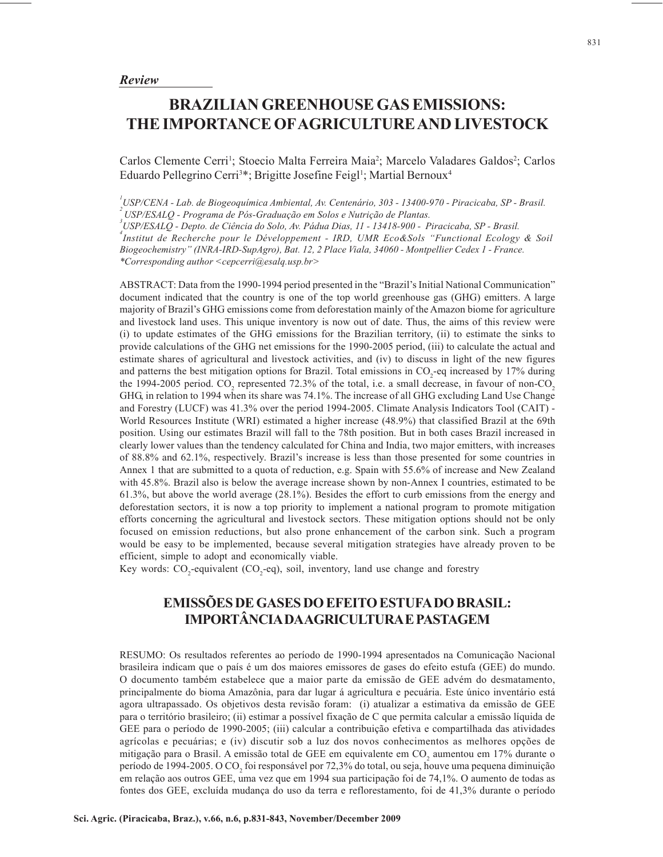### *Review*

# **BRAZILIAN GREENHOUSE GAS EMISSIONS: THE IMPORTANCE OF AGRICULTURE AND LIVESTOCK**

Carlos Clemente Cerri<sup>1</sup>; Stoecio Malta Ferreira Maia<sup>2</sup>; Marcelo Valadares Galdos<sup>2</sup>; Carlos Eduardo Pellegrino Cerri<sup>3\*</sup>; Brigitte Josefine Feigl<sup>1</sup>; Martial Bernoux<sup>4</sup>

*1 USP/CENA - Lab. de Biogeoquímica Ambiental, Av. Centenário, 303 - 13400-970 - Piracicaba, SP - Brasil. 2 USP/ESALQ - Programa de Pós-Graduação em Solos e Nutrição de Plantas.*

*3 USP/ESALQ - Depto. de Ciência do Solo, Av. Pádua Dias, 11 - 13418-900 - Piracicaba, SP - Brasil. 4 Institut de Recherche pour le Développement - IRD, UMR Eco&Sols "Functional Ecology & Soil Biogeochemistry" (INRA-IRD-SupAgro), Bat. 12, 2 Place Viala, 34060 - Montpellier Cedex 1 - France. \*Corresponding author <cepcerri@esalq.usp.br>*

ABSTRACT: Data from the 1990-1994 period presented in the "Brazil's Initial National Communication" document indicated that the country is one of the top world greenhouse gas (GHG) emitters. A large majority of Brazil's GHG emissions come from deforestation mainly of the Amazon biome for agriculture and livestock land uses. This unique inventory is now out of date. Thus, the aims of this review were (i) to update estimates of the GHG emissions for the Brazilian territory, (ii) to estimate the sinks to provide calculations of the GHG net emissions for the 1990-2005 period, (iii) to calculate the actual and estimate shares of agricultural and livestock activities, and (iv) to discuss in light of the new figures and patterns the best mitigation options for Brazil. Total emissions in  $CO_2$ -eq increased by 17% during the 1994-2005 period.  $CO_2$  represented 72.3% of the total, i.e. a small decrease, in favour of non- $CO_2$ GHG, in relation to 1994 when its share was 74.1%. The increase of all GHG excluding Land Use Change and Forestry (LUCF) was 41.3% over the period 1994-2005. Climate Analysis Indicators Tool (CAIT) - World Resources Institute (WRI) estimated a higher increase (48.9%) that classified Brazil at the 69th position. Using our estimates Brazil will fall to the 78th position. But in both cases Brazil increased in clearly lower values than the tendency calculated for China and India, two major emitters, with increases of 88.8% and 62.1%, respectively. Brazil's increase is less than those presented for some countries in Annex 1 that are submitted to a quota of reduction, e.g. Spain with 55.6% of increase and New Zealand with 45.8%. Brazil also is below the average increase shown by non-Annex I countries, estimated to be 61.3%, but above the world average (28.1%). Besides the effort to curb emissions from the energy and deforestation sectors, it is now a top priority to implement a national program to promote mitigation efforts concerning the agricultural and livestock sectors. These mitigation options should not be only focused on emission reductions, but also prone enhancement of the carbon sink. Such a program would be easy to be implemented, because several mitigation strategies have already proven to be efficient, simple to adopt and economically viable.

Key words: CO<sub>2</sub>-equivalent (CO<sub>2</sub>-eq), soil, inventory, land use change and forestry

## **EMISSÕES DE GASES DO EFEITO ESTUFA DO BRASIL: IMPORTÂNCIA DA AGRICULTURA E PASTAGEM**

RESUMO: Os resultados referentes ao período de 1990-1994 apresentados na Comunicação Nacional brasileira indicam que o país é um dos maiores emissores de gases do efeito estufa (GEE) do mundo. O documento também estabelece que a maior parte da emissão de GEE advém do desmatamento, principalmente do bioma Amazônia, para dar lugar á agricultura e pecuária. Este único inventário está agora ultrapassado. Os objetivos desta revisão foram: (i) atualizar a estimativa da emissão de GEE para o território brasileiro; (ii) estimar a possível fixação de C que permita calcular a emissão líquida de GEE para o período de 1990-2005; (iii) calcular a contribuição efetiva e compartilhada das atividades agrícolas e pecuárias; e (iv) discutir sob a luz dos novos conhecimentos as melhores opções de mitigação para o Brasil. A emissão total de GEE em equivalente em  $CO_2$  aumentou em 17% durante o período de 1994-2005. O CO<sub>2</sub> foi responsável por 72,3% do total, ou seja, houve uma pequena diminuição em relação aos outros GEE, uma vez que em 1994 sua participação foi de 74,1%. O aumento de todas as fontes dos GEE, excluída mudança do uso da terra e reflorestamento, foi de 41,3% durante o período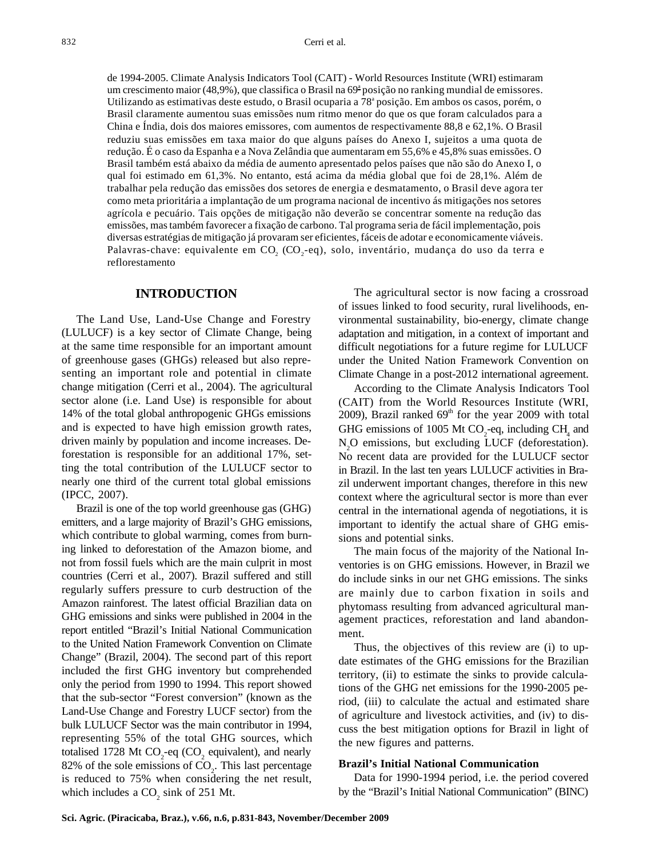de 1994-2005. Climate Analysis Indicators Tool (CAIT) - World Resources Institute (WRI) estimaram um crescimento maior (48,9%), que classifica o Brasil na 69<sup>ª</sup> posição no ranking mundial de emissores. Utilizando as estimativas deste estudo, o Brasil ocuparia a 78<sup>ª</sup> posição. Em ambos os casos, porém, o Brasil claramente aumentou suas emissões num ritmo menor do que os que foram calculados para a China e Índia, dois dos maiores emissores, com aumentos de respectivamente 88,8 e 62,1%. O Brasil reduziu suas emissões em taxa maior do que alguns países do Anexo I, sujeitos a uma quota de redução. É o caso da Espanha e a Nova Zelândia que aumentaram em 55,6% e 45,8% suas emissões. O Brasil também está abaixo da média de aumento apresentado pelos países que não são do Anexo I, o qual foi estimado em 61,3%. No entanto, está acima da média global que foi de 28,1%. Além de trabalhar pela redução das emissões dos setores de energia e desmatamento, o Brasil deve agora ter como meta prioritária a implantação de um programa nacional de incentivo ás mitigações nos setores agrícola e pecuário. Tais opções de mitigação não deverão se concentrar somente na redução das emissões, mas também favorecer a fixação de carbono. Tal programa seria de fácil implementação, pois diversas estratégias de mitigação já provaram ser eficientes, fáceis de adotar e economicamente viáveis. Palavras-chave: equivalente em CO<sub>2</sub> (CO<sub>2</sub>-eq), solo, inventário, mudança do uso da terra e reflorestamento

#### **INTRODUCTION**

The Land Use, Land-Use Change and Forestry (LULUCF) is a key sector of Climate Change, being at the same time responsible for an important amount of greenhouse gases (GHGs) released but also representing an important role and potential in climate change mitigation (Cerri et al., 2004). The agricultural sector alone (i.e. Land Use) is responsible for about 14% of the total global anthropogenic GHGs emissions and is expected to have high emission growth rates, driven mainly by population and income increases. Deforestation is responsible for an additional 17%, setting the total contribution of the LULUCF sector to nearly one third of the current total global emissions (IPCC, 2007).

Brazil is one of the top world greenhouse gas (GHG) emitters, and a large majority of Brazil's GHG emissions, which contribute to global warming, comes from burning linked to deforestation of the Amazon biome, and not from fossil fuels which are the main culprit in most countries (Cerri et al., 2007). Brazil suffered and still regularly suffers pressure to curb destruction of the Amazon rainforest. The latest official Brazilian data on GHG emissions and sinks were published in 2004 in the report entitled "Brazil's Initial National Communication to the United Nation Framework Convention on Climate Change" (Brazil, 2004). The second part of this report included the first GHG inventory but comprehended only the period from 1990 to 1994. This report showed that the sub-sector "Forest conversion" (known as the Land-Use Change and Forestry LUCF sector) from the bulk LULUCF Sector was the main contributor in 1994, representing 55% of the total GHG sources, which totalised 1728 Mt  $CO_2$ -eq ( $CO_2$  equivalent), and nearly 82% of the sole emissions of  $CO<sub>2</sub>$ . This last percentage is reduced to 75% when considering the net result, which includes a  $CO_2$  sink of 251 Mt.

The agricultural sector is now facing a crossroad of issues linked to food security, rural livelihoods, environmental sustainability, bio-energy, climate change adaptation and mitigation, in a context of important and difficult negotiations for a future regime for LULUCF under the United Nation Framework Convention on Climate Change in a post-2012 international agreement.

According to the Climate Analysis Indicators Tool (CAIT) from the World Resources Institute (WRI, 2009), Brazil ranked  $69<sup>th</sup>$  for the year 2009 with total GHG emissions of 1005 Mt  $CO_2$ -eq, including  $CH_4$  and N<sub>2</sub>O emissions, but excluding LUCF (deforestation). No recent data are provided for the LULUCF sector in Brazil. In the last ten years LULUCF activities in Brazil underwent important changes, therefore in this new context where the agricultural sector is more than ever central in the international agenda of negotiations, it is important to identify the actual share of GHG emissions and potential sinks.

The main focus of the majority of the National Inventories is on GHG emissions. However, in Brazil we do include sinks in our net GHG emissions. The sinks are mainly due to carbon fixation in soils and phytomass resulting from advanced agricultural management practices, reforestation and land abandonment.

Thus, the objectives of this review are (i) to update estimates of the GHG emissions for the Brazilian territory, (ii) to estimate the sinks to provide calculations of the GHG net emissions for the 1990-2005 period, (iii) to calculate the actual and estimated share of agriculture and livestock activities, and (iv) to discuss the best mitigation options for Brazil in light of the new figures and patterns.

#### **Brazil's Initial National Communication**

Data for 1990-1994 period, i.e. the period covered by the "Brazil's Initial National Communication" (BINC)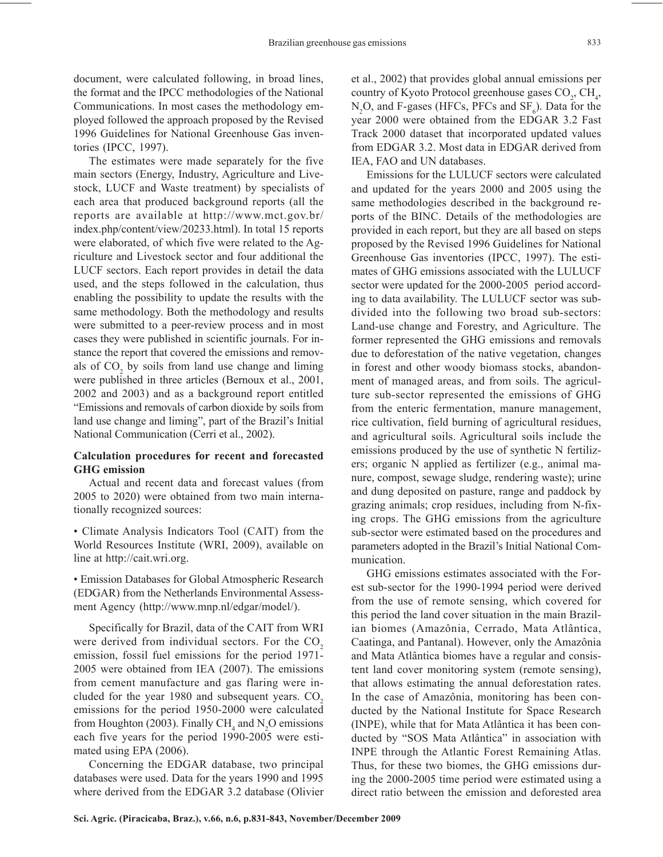document, were calculated following, in broad lines, the format and the IPCC methodologies of the National Communications. In most cases the methodology employed followed the approach proposed by the Revised 1996 Guidelines for National Greenhouse Gas inventories (IPCC, 1997).

The estimates were made separately for the five main sectors (Energy, Industry, Agriculture and Livestock, LUCF and Waste treatment) by specialists of each area that produced background reports (all the reports are available at http://www.mct.gov.br/ index.php/content/view/20233.html). In total 15 reports were elaborated, of which five were related to the Agriculture and Livestock sector and four additional the LUCF sectors. Each report provides in detail the data used, and the steps followed in the calculation, thus enabling the possibility to update the results with the same methodology. Both the methodology and results were submitted to a peer-review process and in most cases they were published in scientific journals. For instance the report that covered the emissions and removals of  $CO<sub>2</sub>$  by soils from land use change and liming were published in three articles (Bernoux et al., 2001, 2002 and 2003) and as a background report entitled "Emissions and removals of carbon dioxide by soils from land use change and liming", part of the Brazil's Initial National Communication (Cerri et al., 2002).

## **Calculation procedures for recent and forecasted GHG emission**

Actual and recent data and forecast values (from 2005 to 2020) were obtained from two main internationally recognized sources:

• Climate Analysis Indicators Tool (CAIT) from the World Resources Institute (WRI, 2009), available on line at http://cait.wri.org.

• Emission Databases for Global Atmospheric Research (EDGAR) from the Netherlands Environmental Assessment Agency (http://www.mnp.nl/edgar/model/).

Specifically for Brazil, data of the CAIT from WRI were derived from individual sectors. For the  $CO<sub>2</sub>$ emission, fossil fuel emissions for the period 1971- 2005 were obtained from IEA (2007). The emissions from cement manufacture and gas flaring were included for the year  $1980$  and subsequent years.  $CO<sub>2</sub>$ emissions for the period 1950-2000 were calculated from Houghton (2003). Finally CH<sub>4</sub> and  $N_2O$  emissions each five years for the period 1990-2005 were estimated using EPA (2006).

Concerning the EDGAR database, two principal databases were used. Data for the years 1990 and 1995 where derived from the EDGAR 3.2 database (Olivier

et al., 2002) that provides global annual emissions per country of Kyoto Protocol greenhouse gases  $CO<sub>2</sub>$ ,  $CH<sub>4</sub>$ ,  $N_2O$ , and F-gases (HFCs, PFCs and SF<sub>6</sub>). Data for the year 2000 were obtained from the EDGAR 3.2 Fast Track 2000 dataset that incorporated updated values from EDGAR 3.2. Most data in EDGAR derived from IEA, FAO and UN databases.

Emissions for the LULUCF sectors were calculated and updated for the years 2000 and 2005 using the same methodologies described in the background reports of the BINC. Details of the methodologies are provided in each report, but they are all based on steps proposed by the Revised 1996 Guidelines for National Greenhouse Gas inventories (IPCC, 1997). The estimates of GHG emissions associated with the LULUCF sector were updated for the 2000-2005 period according to data availability. The LULUCF sector was subdivided into the following two broad sub-sectors: Land-use change and Forestry, and Agriculture. The former represented the GHG emissions and removals due to deforestation of the native vegetation, changes in forest and other woody biomass stocks, abandonment of managed areas, and from soils. The agriculture sub-sector represented the emissions of GHG from the enteric fermentation, manure management, rice cultivation, field burning of agricultural residues, and agricultural soils. Agricultural soils include the emissions produced by the use of synthetic N fertilizers; organic N applied as fertilizer (e.g., animal manure, compost, sewage sludge, rendering waste); urine and dung deposited on pasture, range and paddock by grazing animals; crop residues, including from N-fixing crops. The GHG emissions from the agriculture sub-sector were estimated based on the procedures and parameters adopted in the Brazil's Initial National Communication.

GHG emissions estimates associated with the Forest sub-sector for the 1990-1994 period were derived from the use of remote sensing, which covered for this period the land cover situation in the main Brazilian biomes (Amazônia, Cerrado, Mata Atlântica, Caatinga, and Pantanal). However, only the Amazônia and Mata Atlântica biomes have a regular and consistent land cover monitoring system (remote sensing), that allows estimating the annual deforestation rates. In the case of Amazônia, monitoring has been conducted by the National Institute for Space Research (INPE), while that for Mata Atlântica it has been conducted by "SOS Mata Atlântica" in association with INPE through the Atlantic Forest Remaining Atlas. Thus, for these two biomes, the GHG emissions during the 2000-2005 time period were estimated using a direct ratio between the emission and deforested area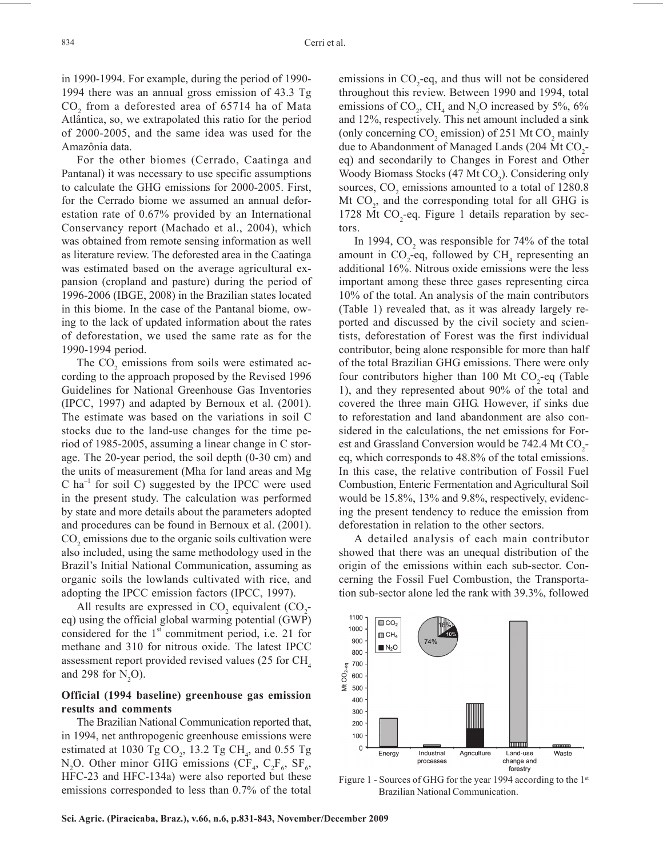in 1990-1994. For example, during the period of 1990- 1994 there was an annual gross emission of 43.3 Tg  $\rm CO_{2}$  from a deforested area of 65714 ha of Mata Atlântica, so, we extrapolated this ratio for the period of 2000-2005, and the same idea was used for the Amazônia data.

For the other biomes (Cerrado, Caatinga and Pantanal) it was necessary to use specific assumptions to calculate the GHG emissions for 2000-2005. First, for the Cerrado biome we assumed an annual deforestation rate of 0.67% provided by an International Conservancy report (Machado et al., 2004), which was obtained from remote sensing information as well as literature review. The deforested area in the Caatinga was estimated based on the average agricultural expansion (cropland and pasture) during the period of 1996-2006 (IBGE, 2008) in the Brazilian states located in this biome. In the case of the Pantanal biome, owing to the lack of updated information about the rates of deforestation, we used the same rate as for the 1990-1994 period.

The  $CO<sub>2</sub>$  emissions from soils were estimated according to the approach proposed by the Revised 1996 Guidelines for National Greenhouse Gas Inventories (IPCC, 1997) and adapted by Bernoux et al. (2001). The estimate was based on the variations in soil C stocks due to the land-use changes for the time period of 1985-2005, assuming a linear change in C storage. The 20-year period, the soil depth (0-30 cm) and the units of measurement (Mha for land areas and Mg C ha<sup>-1</sup> for soil C) suggested by the IPCC were used in the present study. The calculation was performed by state and more details about the parameters adopted and procedures can be found in Bernoux et al. (2001).  $CO<sub>2</sub>$  emissions due to the organic soils cultivation were also included, using the same methodology used in the Brazil's Initial National Communication, assuming as organic soils the lowlands cultivated with rice, and adopting the IPCC emission factors (IPCC, 1997).

All results are expressed in  $CO_2$  equivalent  $(CO_2)$ eq) using the official global warming potential (GWP) considered for the  $1<sup>st</sup>$  commitment period, i.e. 21 for methane and 310 for nitrous oxide. The latest IPCC assessment report provided revised values (25 for  $CH<sub>4</sub>$ ) and 298 for  $N_2O$ ).

## **Official (1994 baseline) greenhouse gas emission results and comments**

The Brazilian National Communication reported that, in 1994, net anthropogenic greenhouse emissions were estimated at 1030 Tg  $CO_2$ , 13.2 Tg  $CH_4$ , and 0.55 Tg N<sub>2</sub>O. Other minor GHG emissions (CF<sub>4</sub>, C<sub>2</sub>F<sub>6</sub>, SF<sub>6</sub>, HFC-23 and HFC-134a) were also reported but these emissions corresponded to less than 0.7% of the total

emissions in  $CO_2$ -eq, and thus will not be considered throughout this review. Between 1990 and 1994, total emissions of  $CO_2$ ,  $CH_4$  and N<sub>2</sub>O increased by 5%, 6% and 12%, respectively. This net amount included a sink (only concerning  $CO_2$  emission) of 251 Mt  $CO_2$  mainly due to Abandonment of Managed Lands (204 Mt CO<sub>2</sub>eq) and secondarily to Changes in Forest and Other Woody Biomass Stocks (47 Mt  $CO<sub>2</sub>$ ). Considering only sources,  $CO_2$  emissions amounted to a total of 1280.8 Mt  $CO<sub>2</sub>$ , and the corresponding total for all GHG is 1728 Mt  $CO_2$ -eq. Figure 1 details reparation by sectors.

In 1994,  $CO_2$  was responsible for 74% of the total amount in  $CO_2$ -eq, followed by  $CH_4$  representing an additional 16%. Nitrous oxide emissions were the less important among these three gases representing circa 10% of the total. An analysis of the main contributors (Table 1) revealed that, as it was already largely reported and discussed by the civil society and scientists, deforestation of Forest was the first individual contributor, being alone responsible for more than half of the total Brazilian GHG emissions. There were only four contributors higher than 100 Mt  $CO_2$ -eq (Table 1), and they represented about 90% of the total and covered the three main GHG. However, if sinks due to reforestation and land abandonment are also considered in the calculations, the net emissions for Forest and Grassland Conversion would be  $742.4$  Mt  $CO_2$ eq, which corresponds to 48.8% of the total emissions. In this case, the relative contribution of Fossil Fuel Combustion, Enteric Fermentation and Agricultural Soil would be 15.8%, 13% and 9.8%, respectively, evidencing the present tendency to reduce the emission from deforestation in relation to the other sectors.

A detailed analysis of each main contributor showed that there was an unequal distribution of the origin of the emissions within each sub-sector. Concerning the Fossil Fuel Combustion, the Transportation sub-sector alone led the rank with 39.3%, followed



Figure 1 - Sources of GHG for the year 1994 according to the 1<sup>st</sup> Brazilian National Communication.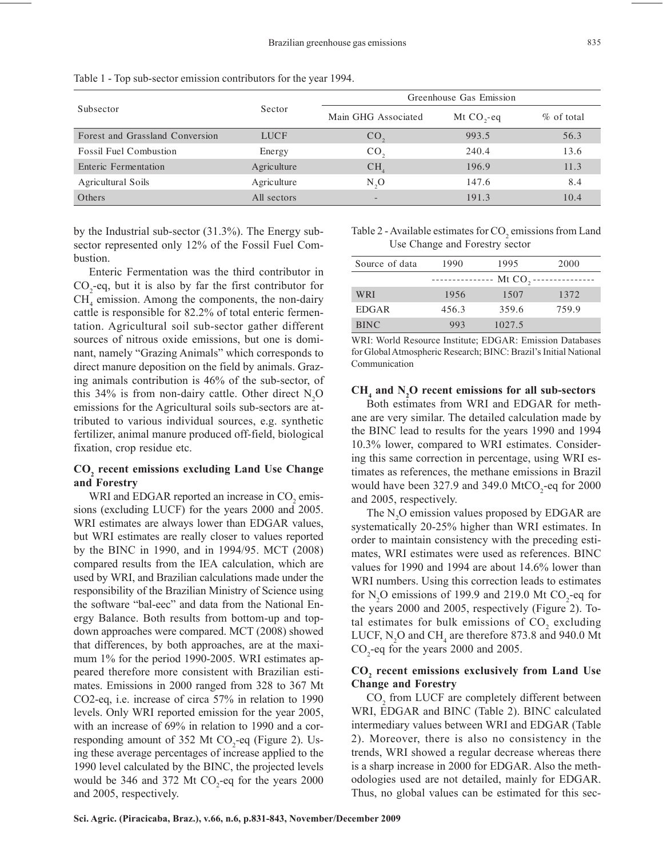|                                 |             | Greenhouse Gas Emission  |                 |               |  |  |  |
|---------------------------------|-------------|--------------------------|-----------------|---------------|--|--|--|
| Subsector                       | Sector      | Main GHG Associated      | Mt $CO_{2}$ -eq | $\%$ of total |  |  |  |
| Forest and Grassland Conversion | <b>LUCF</b> | CO <sub>2</sub>          | 993.5           | 56.3          |  |  |  |
| <b>Fossil Fuel Combustion</b>   | Energy      | CO <sub>2</sub>          | 240.4           | 13.6          |  |  |  |
| Enteric Fermentation            | Agriculture | CH                       | 196.9           | 11.3          |  |  |  |
| Agricultural Soils              | Agriculture | $N_{0}$                  | 147.6           | 8.4           |  |  |  |
| Others                          | All sectors | $\overline{\phantom{a}}$ | 191.3           | 10.4          |  |  |  |

Table 1 - Top sub-sector emission contributors for the year 1994.

by the Industrial sub-sector (31.3%). The Energy subsector represented only 12% of the Fossil Fuel Combustion.

Enteric Fermentation was the third contributor in  $CO<sub>2</sub>$ -eq, but it is also by far the first contributor for  $CH<sub>4</sub>$  emission. Among the components, the non-dairy cattle is responsible for 82.2% of total enteric fermentation. Agricultural soil sub-sector gather different sources of nitrous oxide emissions, but one is dominant, namely "Grazing Animals" which corresponds to direct manure deposition on the field by animals. Grazing animals contribution is 46% of the sub-sector, of this 34% is from non-dairy cattle. Other direct  $N_2O$ emissions for the Agricultural soils sub-sectors are attributed to various individual sources, e.g. synthetic fertilizer, animal manure produced off-field, biological fixation, crop residue etc.

## **CO2 recent emissions excluding Land Use Change and Forestry**

WRI and EDGAR reported an increase in  $CO<sub>2</sub>$  emissions (excluding LUCF) for the years 2000 and 2005. WRI estimates are always lower than EDGAR values, but WRI estimates are really closer to values reported by the BINC in 1990, and in 1994/95. MCT (2008) compared results from the IEA calculation, which are used by WRI, and Brazilian calculations made under the responsibility of the Brazilian Ministry of Science using the software "bal-eec" and data from the National Energy Balance. Both results from bottom-up and topdown approaches were compared. MCT (2008) showed that differences, by both approaches, are at the maximum 1% for the period 1990-2005. WRI estimates appeared therefore more consistent with Brazilian estimates. Emissions in 2000 ranged from 328 to 367 Mt CO2-eq, i.e. increase of circa 57% in relation to 1990 levels. Only WRI reported emission for the year 2005, with an increase of 69% in relation to 1990 and a corresponding amount of 352 Mt  $CO_2$ -eq (Figure 2). Using these average percentages of increase applied to the 1990 level calculated by the BINC, the projected levels would be 346 and 372 Mt  $CO_2$ -eq for the years 2000 and 2005, respectively.

Table 2 - Available estimates for  $CO_2$  emissions from Land Use Change and Forestry sector

| Source of data | 1990       | 1995                                | 2000  |
|----------------|------------|-------------------------------------|-------|
|                | ---------- | $---$ Mt CO <sub>2</sub> ---------- |       |
| WRI            | 1956       | 1507                                | 1372  |
| <b>EDGAR</b>   | 456.3      | 359.6                               | 759.9 |
| <b>BINC</b>    | 993        | 1027.5                              |       |

WRI: World Resource Institute; EDGAR: Emission Databases for Global Atmospheric Research; BINC: Brazil's Initial National Communication

## **CH4 and N2 O recent emissions for all sub-sectors**

Both estimates from WRI and EDGAR for methane are very similar. The detailed calculation made by the BINC lead to results for the years 1990 and 1994 10.3% lower, compared to WRI estimates. Considering this same correction in percentage, using WRI estimates as references, the methane emissions in Brazil would have been 327.9 and 349.0  $\text{MtCO}_2$ -eq for 2000 and 2005, respectively.

The  $N_2O$  emission values proposed by EDGAR are systematically 20-25% higher than WRI estimates. In order to maintain consistency with the preceding estimates, WRI estimates were used as references. BINC values for 1990 and 1994 are about 14.6% lower than WRI numbers. Using this correction leads to estimates for  $N_2$ O emissions of 199.9 and 219.0 Mt CO<sub>2</sub>-eq for the years 2000 and 2005, respectively (Figure 2). Total estimates for bulk emissions of  $CO<sub>2</sub>$  excluding LUCF,  $N_2$ O and CH<sub>4</sub> are therefore 873.8 and 940.0 Mt  $CO<sub>2</sub>$ -eq for the years 2000 and 2005.

## **CO2 recent emissions exclusively from Land Use Change and Forestry**

CO<sub>2</sub> from LUCF are completely different between WRI, EDGAR and BINC (Table 2). BINC calculated intermediary values between WRI and EDGAR (Table 2). Moreover, there is also no consistency in the trends, WRI showed a regular decrease whereas there is a sharp increase in 2000 for EDGAR. Also the methodologies used are not detailed, mainly for EDGAR. Thus, no global values can be estimated for this sec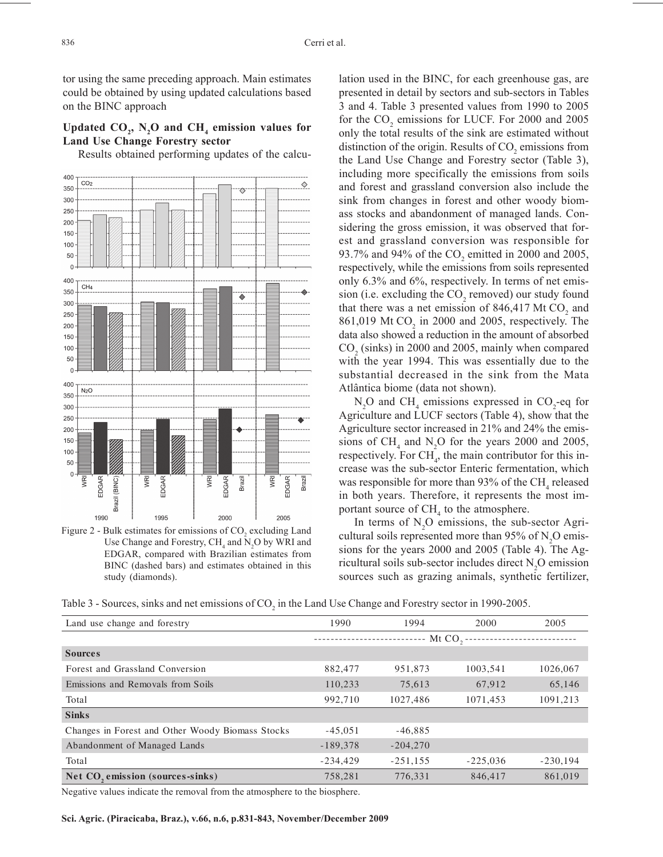tor using the same preceding approach. Main estimates could be obtained by using updated calculations based on the BINC approach

## Updated CO<sub>2</sub>, N<sub>2</sub>O and CH<sub>4</sub> emission values for **Land Use Change Forestry sector**

Results obtained performing updates of the calcu-



Figure 2 - Bulk estimates for emissions of  $CO<sub>2</sub>$  excluding Land Use Change and Forestry,  $CH_4$  and  $N_2O$  by WRI and EDGAR, compared with Brazilian estimates from BINC (dashed bars) and estimates obtained in this study (diamonds).

lation used in the BINC, for each greenhouse gas, are presented in detail by sectors and sub-sectors in Tables 3 and 4. Table 3 presented values from 1990 to 2005 for the  $CO_2$  emissions for LUCF. For 2000 and 2005 only the total results of the sink are estimated without distinction of the origin. Results of  $CO<sub>2</sub>$  emissions from the Land Use Change and Forestry sector (Table 3), including more specifically the emissions from soils and forest and grassland conversion also include the sink from changes in forest and other woody biomass stocks and abandonment of managed lands. Considering the gross emission, it was observed that forest and grassland conversion was responsible for 93.7% and 94% of the  $CO_2$  emitted in 2000 and 2005, respectively, while the emissions from soils represented only 6.3% and 6%, respectively. In terms of net emission (i.e. excluding the  $CO_2$  removed) our study found that there was a net emission of  $846,417 \text{ Mt CO}_2$  and  $861,019$  Mt CO<sub>2</sub> in 2000 and 2005, respectively. The data also showed a reduction in the amount of absorbed  $CO<sub>2</sub>$  (sinks) in 2000 and 2005, mainly when compared with the year 1994. This was essentially due to the substantial decreased in the sink from the Mata Atlântica biome (data not shown).

 $N_2$ O and CH<sub>4</sub> emissions expressed in CO<sub>2</sub>-eq for Agriculture and LUCF sectors (Table 4), show that the Agriculture sector increased in 21% and 24% the emissions of  $CH_4$  and N<sub>2</sub>O for the years 2000 and 2005, respectively. For  $\text{CH}_4$ , the main contributor for this increase was the sub-sector Enteric fermentation, which was responsible for more than 93% of the  $\text{CH}_4$  released in both years. Therefore, it represents the most important source of  $CH<sub>4</sub>$  to the atmosphere.

In terms of  $N_2O$  emissions, the sub-sector Agricultural soils represented more than 95% of  $N_2O$  emissions for the years 2000 and 2005 (Table 4). The Agricultural soils sub-sector includes direct  $N_2O$  emission sources such as grazing animals, synthetic fertilizer,

| Table 3 - Sources, sinks and net emissions of CO, in the Land Use Change and Forestry sector in 1990-2005. |  |  |  |  |  |  |  |  |  |
|------------------------------------------------------------------------------------------------------------|--|--|--|--|--|--|--|--|--|
|------------------------------------------------------------------------------------------------------------|--|--|--|--|--|--|--|--|--|

| Land use change and forestry                     | 1990       | 1994                       | 2000       | 2005       |
|--------------------------------------------------|------------|----------------------------|------------|------------|
|                                                  |            | $-$ Mt CO <sub>2</sub> $-$ |            |            |
| <b>Sources</b>                                   |            |                            |            |            |
| Forest and Grassland Conversion                  | 882,477    | 951,873                    | 1003.541   | 1026,067   |
| Emissions and Removals from Soils                | 110,233    | 75,613                     | 67,912     | 65,146     |
| Total                                            | 992,710    | 1027,486                   | 1071,453   | 1091,213   |
| <b>Sinks</b>                                     |            |                            |            |            |
| Changes in Forest and Other Woody Biomass Stocks | $-45.051$  | $-46.885$                  |            |            |
| Abandonment of Managed Lands                     | $-189,378$ | $-204.270$                 |            |            |
| Total                                            | $-234.429$ | $-251.155$                 | $-225.036$ | $-230.194$ |
| Net CO <sub>2</sub> emission (sources-sinks)     | 758,281    | 776,331                    | 846,417    | 861,019    |

Negative values indicate the removal from the atmosphere to the biosphere.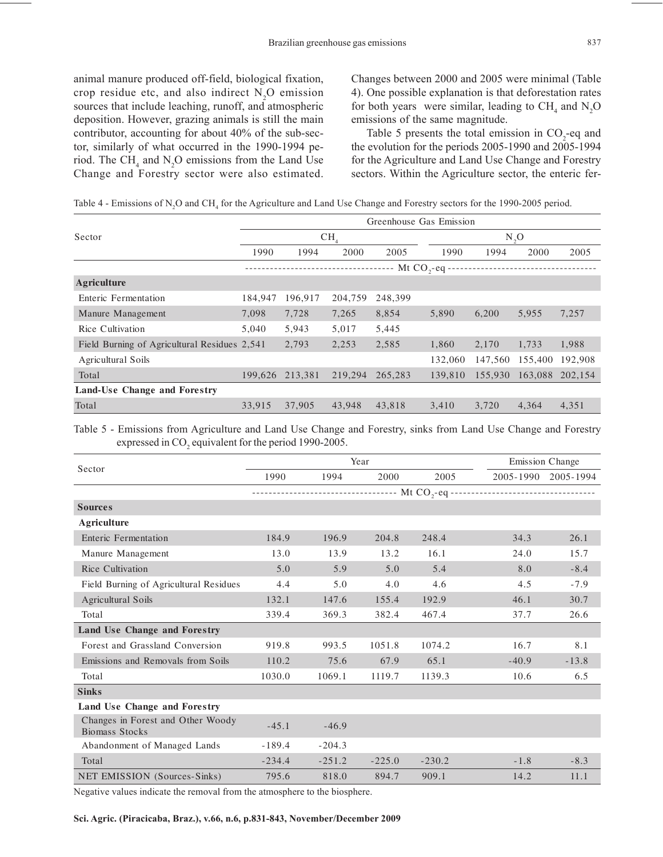animal manure produced off-field, biological fixation, crop residue etc, and also indirect  $N_2O$  emission sources that include leaching, runoff, and atmospheric deposition. However, grazing animals is still the main contributor, accounting for about 40% of the sub-sector, similarly of what occurred in the 1990-1994 period. The  $CH_4$  and  $N_2O$  emissions from the Land Use Change and Forestry sector were also estimated. Changes between 2000 and 2005 were minimal (Table 4). One possible explanation is that deforestation rates for both years were similar, leading to  $\text{CH}_4$  and  $\text{N}_2\text{O}$ emissions of the same magnitude.

Table 5 presents the total emission in  $CO<sub>2</sub>$ -eq and the evolution for the periods 2005-1990 and 2005-1994 for the Agriculture and Land Use Change and Forestry sectors. Within the Agriculture sector, the enteric fer-

| Table 4 - Emissions of $N_2O$ and CH <sub>4</sub> for the Agriculture and Land Use Change and Forestry sectors for the 1990-2005 period. |  |
|------------------------------------------------------------------------------------------------------------------------------------------|--|
|------------------------------------------------------------------------------------------------------------------------------------------|--|

|                                              | Greenhouse Gas Emission |         |         |                   |         |         |         |         |  |
|----------------------------------------------|-------------------------|---------|---------|-------------------|---------|---------|---------|---------|--|
| Sector                                       |                         |         | CH.     |                   | N, O    |         |         |         |  |
|                                              | 1990                    | 1994    | 2000    | 2005              | 1990    | 1994    | 2000    | 2005    |  |
|                                              |                         |         |         | Mt $CO_{2}$ -eq - |         |         |         |         |  |
| <b>Agriculture</b>                           |                         |         |         |                   |         |         |         |         |  |
| <b>Enteric Fermentation</b>                  | 184,947                 | 196.917 | 204,759 | 248,399           |         |         |         |         |  |
| Manure Management                            | 7,098                   | 7,728   | 7,265   | 8,854             | 5,890   | 6,200   | 5,955   | 7,257   |  |
| Rice Cultivation                             | 5.040                   | 5.943   | 5,017   | 5,445             |         |         |         |         |  |
| Field Burning of Agricultural Residues 2,541 |                         | 2,793   | 2,253   | 2,585             | 1,860   | 2,170   | 1,733   | 1,988   |  |
| Agricultural Soils                           |                         |         |         |                   | 132,060 | 147,560 | 155,400 | 192,908 |  |
| Total                                        | 199,626                 | 213.381 | 219,294 | 265,283           | 139,810 | 155,930 | 163.088 | 202,154 |  |
| Land-Use Change and Forestry                 |                         |         |         |                   |         |         |         |         |  |
| Total                                        | 33,915                  | 37,905  | 43.948  | 43,818            | 3.410   | 3.720   | 4.364   | 4,351   |  |

Table 5 - Emissions from Agriculture and Land Use Change and Forestry, sinks from Land Use Change and Forestry expressed in  $CO<sub>2</sub>$  equivalent for the period 1990-2005.

|                                                            |          | Year     |          | <b>Emission Change</b> |         |                     |
|------------------------------------------------------------|----------|----------|----------|------------------------|---------|---------------------|
| Sector                                                     | 1990     | 1994     | 2000     | 2005                   |         | 2005-1990 2005-1994 |
|                                                            |          |          |          |                        |         |                     |
| <b>Sources</b>                                             |          |          |          |                        |         |                     |
| <b>Agriculture</b>                                         |          |          |          |                        |         |                     |
| <b>Enteric Fermentation</b>                                | 184.9    | 196.9    | 204.8    | 248.4                  | 34.3    | 26.1                |
| Manure Management                                          | 13.0     | 13.9     | 13.2     | 16.1                   | 24.0    | 15.7                |
| <b>Rice Cultivation</b>                                    | 5.0      | 5.9      | 5.0      | 5.4                    | 8.0     | $-8.4$              |
| Field Burning of Agricultural Residues                     | 4.4      | 5.0      | 4.0      | 4.6                    | 4.5     | $-7.9$              |
| <b>Agricultural Soils</b>                                  | 132.1    | 147.6    | 155.4    | 192.9                  | 46.1    | 30.7                |
| Total                                                      | 339.4    | 369.3    | 382.4    | 467.4                  | 37.7    | 26.6                |
| Land Use Change and Forestry                               |          |          |          |                        |         |                     |
| Forest and Grassland Conversion                            | 919.8    | 993.5    | 1051.8   | 1074.2                 | 16.7    | 8.1                 |
| Emissions and Removals from Soils                          | 110.2    | 75.6     | 67.9     | 65.1                   | $-40.9$ | $-13.8$             |
| Total                                                      | 1030.0   | 1069.1   | 1119.7   | 1139.3                 | 10.6    | 6.5                 |
| <b>Sinks</b>                                               |          |          |          |                        |         |                     |
| Land Use Change and Forestry                               |          |          |          |                        |         |                     |
| Changes in Forest and Other Woody<br><b>Biomass Stocks</b> | $-45.1$  | $-46.9$  |          |                        |         |                     |
| Abandonment of Managed Lands                               | $-189.4$ | $-204.3$ |          |                        |         |                     |
| Total                                                      | $-234.4$ | $-251.2$ | $-225.0$ | $-230.2$               | $-1.8$  | $-8.3$              |
| <b>NET EMISSION</b> (Sources-Sinks)                        | 795.6    | 818.0    | 894.7    | 909.1                  | 14.2    | 11.1                |

Negative values indicate the removal from the atmosphere to the biosphere.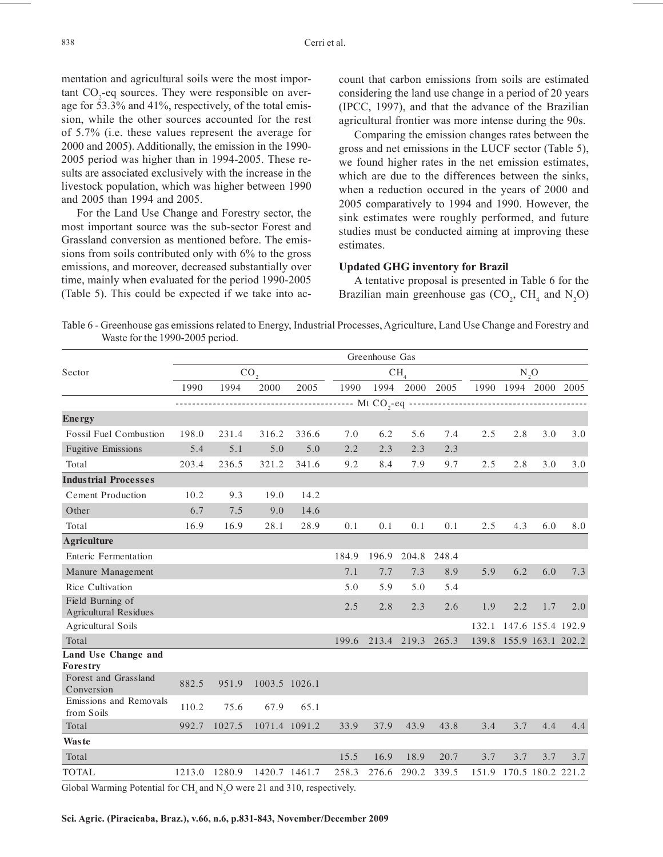mentation and agricultural soils were the most impor $tan CO<sub>2</sub>$ -eq sources. They were responsible on average for 53.3% and 41%, respectively, of the total emission, while the other sources accounted for the rest of 5.7% (i.e. these values represent the average for 2000 and 2005). Additionally, the emission in the 1990- 2005 period was higher than in 1994-2005. These results are associated exclusively with the increase in the livestock population, which was higher between 1990 and 2005 than 1994 and 2005.

For the Land Use Change and Forestry sector, the most important source was the sub-sector Forest and Grassland conversion as mentioned before. The emissions from soils contributed only with 6% to the gross emissions, and moreover, decreased substantially over time, mainly when evaluated for the period 1990-2005 (Table 5). This could be expected if we take into account that carbon emissions from soils are estimated considering the land use change in a period of 20 years (IPCC, 1997), and that the advance of the Brazilian agricultural frontier was more intense during the 90s.

Comparing the emission changes rates between the gross and net emissions in the LUCF sector (Table 5), we found higher rates in the net emission estimates, which are due to the differences between the sinks, when a reduction occured in the years of 2000 and 2005 comparatively to 1994 and 1990. However, the sink estimates were roughly performed, and future studies must be conducted aiming at improving these estimates.

## **Updated GHG inventory for Brazil**

A tentative proposal is presented in Table 6 for the Brazilian main greenhouse gas  $(CO_2, CH_4$  and  $N_2O$ 

Table 6 - Greenhouse gas emissions related to Energy, Industrial Processes, Agriculture, Land Use Change and Forestry and Waste for the 1990-2005 period.

|                                                  | Greenhouse Gas |        |                 |               |                                                                        |                 |             |       |       |                   |                   |      |
|--------------------------------------------------|----------------|--------|-----------------|---------------|------------------------------------------------------------------------|-----------------|-------------|-------|-------|-------------------|-------------------|------|
| Sector                                           |                |        | CO <sub>2</sub> |               |                                                                        | CH <sub>4</sub> |             |       |       |                   | $N_{0}$           |      |
|                                                  | 1990           | 1994   | 2000            | 2005          | 1990                                                                   | 1994            | 2000        | 2005  |       | 1990 1994 2000    |                   | 2005 |
|                                                  |                |        |                 |               | ---------------------- Mt CO <sub>2</sub> -eq ------------------------ |                 |             |       |       |                   |                   |      |
| Energy                                           |                |        |                 |               |                                                                        |                 |             |       |       |                   |                   |      |
| <b>Fossil Fuel Combustion</b>                    | 198.0          | 231.4  | 316.2           | 336.6         | 7.0                                                                    | 6.2             | 5.6         | 7.4   | 2.5   | 2.8               | 3.0               | 3.0  |
| <b>Fugitive Emissions</b>                        | 5.4            | 5.1    | 5.0             | 5.0           | 2.2                                                                    | 2.3             | 2.3         | 2.3   |       |                   |                   |      |
| Total                                            | 203.4          | 236.5  | 321.2           | 341.6         | 9.2                                                                    | 8.4             | 7.9         | 9.7   | 2.5   | 2.8               | 3.0               | 3.0  |
| <b>Industrial Processes</b>                      |                |        |                 |               |                                                                        |                 |             |       |       |                   |                   |      |
| <b>Cement Production</b>                         | 10.2           | 9.3    | 19.0            | 14.2          |                                                                        |                 |             |       |       |                   |                   |      |
| Other                                            | 6.7            | 7.5    | 9.0             | 14.6          |                                                                        |                 |             |       |       |                   |                   |      |
| Total                                            | 16.9           | 16.9   | 28.1            | 28.9          | 0.1                                                                    | 0.1             | 0.1         | 0.1   | 2.5   | 4.3               | 6.0               | 8.0  |
| <b>Agriculture</b>                               |                |        |                 |               |                                                                        |                 |             |       |       |                   |                   |      |
| <b>Enteric Fermentation</b>                      |                |        |                 |               | 184.9                                                                  | 196.9           | 204.8       | 248.4 |       |                   |                   |      |
| Manure Management                                |                |        |                 |               | 7.1                                                                    | 7.7             | 7.3         | 8.9   | 5.9   | 6.2               | 6.0               | 7.3  |
| Rice Cultivation                                 |                |        |                 |               | 5.0                                                                    | 5.9             | 5.0         | 5.4   |       |                   |                   |      |
| Field Burning of<br><b>Agricultural Residues</b> |                |        |                 |               | 2.5                                                                    | 2.8             | 2.3         | 2.6   | 1.9   | 2.2               | 1.7               | 2.0  |
| <b>Agricultural Soils</b>                        |                |        |                 |               |                                                                        |                 |             |       | 132.1 |                   | 147.6 155.4 192.9 |      |
| Total                                            |                |        |                 |               | 199.6                                                                  |                 | 213.4 219.3 | 265.3 | 139.8 | 155.9 163.1 202.2 |                   |      |
| Land Use Change and<br>Forestry                  |                |        |                 |               |                                                                        |                 |             |       |       |                   |                   |      |
| Forest and Grassland<br>Conversion               | 882.5          | 951.9  |                 | 1003.5 1026.1 |                                                                        |                 |             |       |       |                   |                   |      |
| Emissions and Removals<br>from Soils             | 110.2          | 75.6   | 67.9            | 65.1          |                                                                        |                 |             |       |       |                   |                   |      |
| Total                                            | 992.7          | 1027.5 |                 | 1071.4 1091.2 | 33.9                                                                   | 37.9            | 43.9        | 43.8  | 3.4   | 3.7               | 4.4               | 4.4  |
| Waste                                            |                |        |                 |               |                                                                        |                 |             |       |       |                   |                   |      |
| Total                                            |                |        |                 |               | 15.5                                                                   | 16.9            | 18.9        | 20.7  | 3.7   | 3.7               | 3.7               | 3.7  |
| <b>TOTAL</b>                                     | 1213.0         | 1280.9 |                 | 1420.7 1461.7 | 258.3                                                                  | 276.6           | 290.2       | 339.5 | 151.9 | 170.5 180.2 221.2 |                   |      |
|                                                  |                |        |                 |               |                                                                        |                 |             |       |       |                   |                   |      |

Global Warming Potential for  $\text{CH}_4$  and  $\text{N}_2\text{O}$  were 21 and 310, respectively.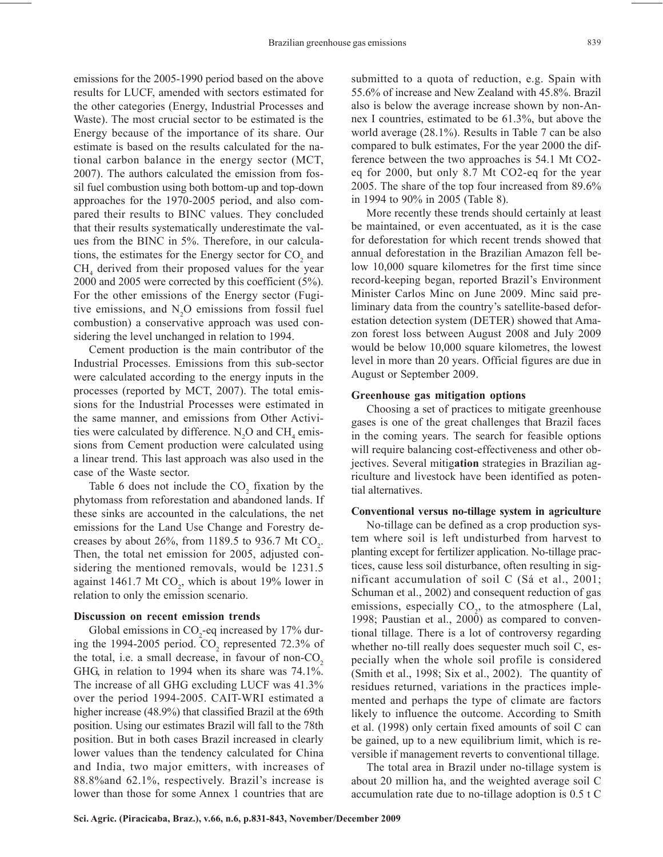emissions for the 2005-1990 period based on the above results for LUCF, amended with sectors estimated for the other categories (Energy, Industrial Processes and Waste). The most crucial sector to be estimated is the Energy because of the importance of its share. Our estimate is based on the results calculated for the national carbon balance in the energy sector (MCT, 2007). The authors calculated the emission from fossil fuel combustion using both bottom-up and top-down approaches for the 1970-2005 period, and also compared their results to BINC values. They concluded that their results systematically underestimate the values from the BINC in 5%. Therefore, in our calculations, the estimates for the Energy sector for  $CO<sub>2</sub>$  and  $CH<sub>4</sub>$  derived from their proposed values for the year 2000 and 2005 were corrected by this coefficient (5%). For the other emissions of the Energy sector (Fugitive emissions, and  $N_2O$  emissions from fossil fuel combustion) a conservative approach was used considering the level unchanged in relation to 1994.

Cement production is the main contributor of the Industrial Processes. Emissions from this sub-sector were calculated according to the energy inputs in the processes (reported by MCT, 2007). The total emissions for the Industrial Processes were estimated in the same manner, and emissions from Other Activities were calculated by difference.  $N_2O$  and  $CH_4$  emissions from Cement production were calculated using a linear trend. This last approach was also used in the case of the Waste sector.

Table 6 does not include the  $CO_2$  fixation by the phytomass from reforestation and abandoned lands. If these sinks are accounted in the calculations, the net emissions for the Land Use Change and Forestry decreases by about 26%, from 1189.5 to 936.7 Mt  $CO<sub>2</sub>$ . Then, the total net emission for 2005, adjusted considering the mentioned removals, would be 1231.5 against 1461.7 Mt  $CO<sub>2</sub>$ , which is about 19% lower in relation to only the emission scenario.

#### **Discussion on recent emission trends**

Global emissions in  $CO_2$ -eq increased by 17% during the 1994-2005 period.  $CO_2$  represented 72.3% of the total, i.e. a small decrease, in favour of non- $CO<sub>2</sub>$ GHG, in relation to 1994 when its share was 74.1%. The increase of all GHG excluding LUCF was 41.3% over the period 1994-2005. CAIT-WRI estimated a higher increase (48.9%) that classified Brazil at the 69th position. Using our estimates Brazil will fall to the 78th position. But in both cases Brazil increased in clearly lower values than the tendency calculated for China and India, two major emitters, with increases of 88.8%and 62.1%, respectively. Brazil's increase is lower than those for some Annex 1 countries that are

submitted to a quota of reduction, e.g. Spain with 55.6% of increase and New Zealand with 45.8%. Brazil also is below the average increase shown by non-Annex I countries, estimated to be 61.3%, but above the world average (28.1%). Results in Table 7 can be also compared to bulk estimates, For the year 2000 the difference between the two approaches is 54.1 Mt CO2 eq for 2000, but only 8.7 Mt CO2-eq for the year 2005. The share of the top four increased from 89.6% in 1994 to 90% in 2005 (Table 8).

More recently these trends should certainly at least be maintained, or even accentuated, as it is the case for deforestation for which recent trends showed that annual deforestation in the Brazilian Amazon fell below 10,000 square kilometres for the first time since record-keeping began, reported Brazil's Environment Minister Carlos Minc on June 2009. Minc said preliminary data from the country's satellite-based deforestation detection system (DETER) showed that Amazon forest loss between August 2008 and July 2009 would be below 10,000 square kilometres, the lowest level in more than 20 years. Official figures are due in August or September 2009.

#### **Greenhouse gas mitigation options**

Choosing a set of practices to mitigate greenhouse gases is one of the great challenges that Brazil faces in the coming years. The search for feasible options will require balancing cost-effectiveness and other objectives. Several mitig**ation** strategies in Brazilian agriculture and livestock have been identified as potential alternatives.

#### **Conventional versus no-tillage system in agriculture**

No-tillage can be defined as a crop production system where soil is left undisturbed from harvest to planting except for fertilizer application. No-tillage practices, cause less soil disturbance, often resulting in significant accumulation of soil C (Sá et al., 2001; Schuman et al., 2002) and consequent reduction of gas emissions, especially  $CO<sub>2</sub>$ , to the atmosphere (Lal, 1998; Paustian et al., 2000) as compared to conventional tillage. There is a lot of controversy regarding whether no-till really does sequester much soil C, especially when the whole soil profile is considered (Smith et al., 1998; Six et al., 2002). The quantity of residues returned, variations in the practices implemented and perhaps the type of climate are factors likely to influence the outcome. According to Smith et al. (1998) only certain fixed amounts of soil C can be gained, up to a new equilibrium limit, which is reversible if management reverts to conventional tillage.

The total area in Brazil under no-tillage system is about 20 million ha, and the weighted average soil C accumulation rate due to no-tillage adoption is 0.5 t C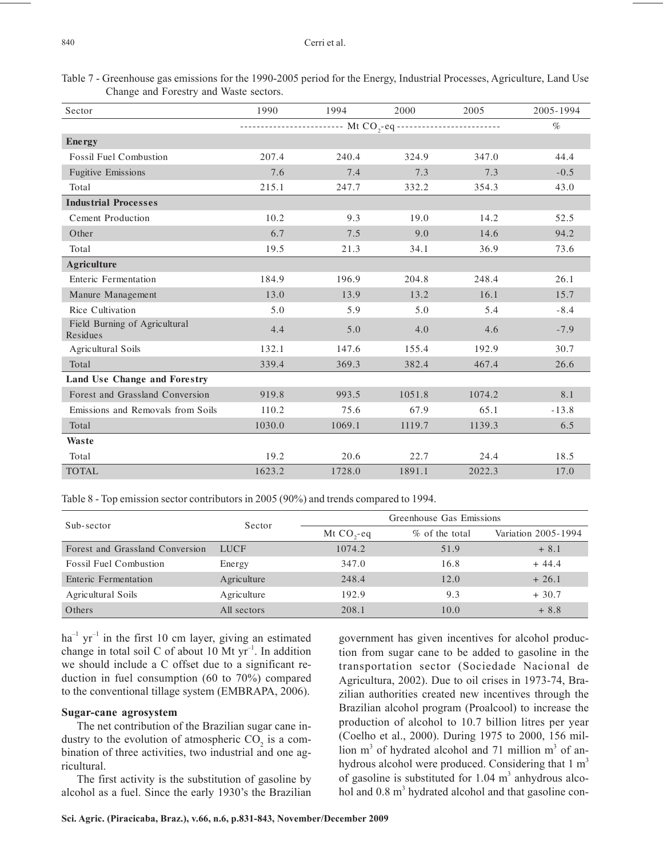Table 7 - Greenhouse gas emissions for the 1990-2005 period for the Energy, Industrial Processes, Agriculture, Land Use Change and Forestry and Waste sectors.

| Sector                                    | 1990   | 1994                                                                      | 2000   | 2005   | 2005-1994 |
|-------------------------------------------|--------|---------------------------------------------------------------------------|--------|--------|-----------|
|                                           |        | ------------------------ Mt CO <sub>2</sub> -eq ------------------------- |        |        | $\%$      |
| Energy                                    |        |                                                                           |        |        |           |
| <b>Fossil Fuel Combustion</b>             | 207.4  | 240.4                                                                     | 324.9  | 347.0  | 44.4      |
| <b>Fugitive Emissions</b>                 | 7.6    | 7.4                                                                       | 7.3    | 7.3    | $-0.5$    |
| Total                                     | 215.1  | 247.7                                                                     | 332.2  | 354.3  | 43.0      |
| <b>Industrial Processes</b>               |        |                                                                           |        |        |           |
| Cement Production                         | 10.2   | 9.3                                                                       | 19.0   | 14.2   | 52.5      |
| Other                                     | 6.7    | 7.5                                                                       | 9.0    | 14.6   | 94.2      |
| Total                                     | 19.5   | 21.3                                                                      | 34.1   | 36.9   | 73.6      |
| <b>Agriculture</b>                        |        |                                                                           |        |        |           |
| <b>Enteric Fermentation</b>               | 184.9  | 196.9                                                                     | 204.8  | 248.4  | 26.1      |
| Manure Management                         | 13.0   | 13.9                                                                      | 13.2   | 16.1   | 15.7      |
| Rice Cultivation                          | 5.0    | 5.9                                                                       | 5.0    | 5.4    | $-8.4$    |
| Field Burning of Agricultural<br>Residues | 4.4    | 5.0                                                                       | 4.0    | 4.6    | $-7.9$    |
| Agricultural Soils                        | 132.1  | 147.6                                                                     | 155.4  | 192.9  | 30.7      |
| Total                                     | 339.4  | 369.3                                                                     | 382.4  | 467.4  | 26.6      |
| Land Use Change and Forestry              |        |                                                                           |        |        |           |
| Forest and Grassland Conversion           | 919.8  | 993.5                                                                     | 1051.8 | 1074.2 | 8.1       |
| Emissions and Removals from Soils         | 110.2  | 75.6                                                                      | 67.9   | 65.1   | $-13.8$   |
| Total                                     | 1030.0 | 1069.1                                                                    | 1119.7 | 1139.3 | 6.5       |
| Waste                                     |        |                                                                           |        |        |           |
| Total                                     | 19.2   | 20.6                                                                      | 22.7   | 24.4   | 18.5      |
| <b>TOTAL</b>                              | 1623.2 | 1728.0                                                                    | 1891.1 | 2022.3 | 17.0      |

Table 8 - Top emission sector contributors in 2005 (90%) and trends compared to 1994.

|                                 |             | Greenhouse Gas Emissions |                   |                     |  |  |  |
|---------------------------------|-------------|--------------------------|-------------------|---------------------|--|--|--|
| Sub-sector                      | Sector      | Mt $COz$ -eq             | $\%$ of the total | Variation 2005-1994 |  |  |  |
| Forest and Grassland Conversion | <b>LUCF</b> | 1074.2                   | 51.9              | $+8.1$              |  |  |  |
| <b>Fossil Fuel Combustion</b>   | Energy      | 347.0                    | 16.8              | $+44.4$             |  |  |  |
| Enteric Fermentation            | Agriculture | 248.4                    | 12.0              | $+26.1$             |  |  |  |
| Agricultural Soils              | Agriculture | 192.9                    | 9.3               | $+30.7$             |  |  |  |
| Others                          | All sectors | 208.1                    | 10.0              | $+8.8$              |  |  |  |

 $ha^{-1}$  yr<sup>-1</sup> in the first 10 cm layer, giving an estimated change in total soil C of about 10 Mt  $yr^{-1}$ . In addition we should include a C offset due to a significant reduction in fuel consumption (60 to 70%) compared to the conventional tillage system (EMBRAPA, 2006).

### **Sugar-cane agrosystem**

The net contribution of the Brazilian sugar cane industry to the evolution of atmospheric  $CO_2$  is a combination of three activities, two industrial and one agricultural.

The first activity is the substitution of gasoline by alcohol as a fuel. Since the early 1930's the Brazilian government has given incentives for alcohol production from sugar cane to be added to gasoline in the transportation sector (Sociedade Nacional de Agricultura, 2002). Due to oil crises in 1973-74, Brazilian authorities created new incentives through the Brazilian alcohol program (Proalcool) to increase the production of alcohol to 10.7 billion litres per year (Coelho et al., 2000). During 1975 to 2000, 156 million  $m<sup>3</sup>$  of hydrated alcohol and 71 million  $m<sup>3</sup>$  of anhydrous alcohol were produced. Considering that  $1 \text{ m}^3$ of gasoline is substituted for  $1.04 \text{ m}^3$  anhydrous alcohol and  $0.8 \text{ m}^3$  hydrated alcohol and that gasoline con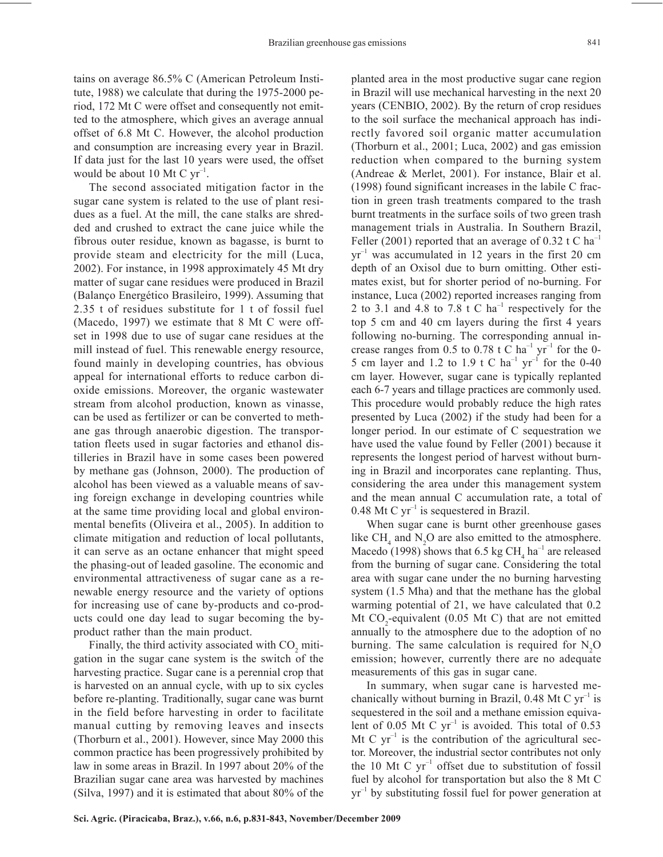tains on average 86.5% C (American Petroleum Institute, 1988) we calculate that during the 1975-2000 period, 172 Mt C were offset and consequently not emitted to the atmosphere, which gives an average annual offset of 6.8 Mt C. However, the alcohol production and consumption are increasing every year in Brazil. If data just for the last 10 years were used, the offset would be about 10 Mt C  $yr^{-1}$ .

The second associated mitigation factor in the sugar cane system is related to the use of plant residues as a fuel. At the mill, the cane stalks are shredded and crushed to extract the cane juice while the fibrous outer residue, known as bagasse, is burnt to provide steam and electricity for the mill (Luca, 2002). For instance, in 1998 approximately 45 Mt dry matter of sugar cane residues were produced in Brazil (Balanço Energético Brasileiro, 1999). Assuming that 2.35 t of residues substitute for 1 t of fossil fuel (Macedo, 1997) we estimate that 8 Mt C were offset in 1998 due to use of sugar cane residues at the mill instead of fuel. This renewable energy resource, found mainly in developing countries, has obvious appeal for international efforts to reduce carbon dioxide emissions. Moreover, the organic wastewater stream from alcohol production, known as vinasse, can be used as fertilizer or can be converted to methane gas through anaerobic digestion. The transportation fleets used in sugar factories and ethanol distilleries in Brazil have in some cases been powered by methane gas (Johnson, 2000). The production of alcohol has been viewed as a valuable means of saving foreign exchange in developing countries while at the same time providing local and global environmental benefits (Oliveira et al., 2005). In addition to climate mitigation and reduction of local pollutants, it can serve as an octane enhancer that might speed the phasing-out of leaded gasoline. The economic and environmental attractiveness of sugar cane as a renewable energy resource and the variety of options for increasing use of cane by-products and co-products could one day lead to sugar becoming the byproduct rather than the main product.

Finally, the third activity associated with  $CO<sub>2</sub>$  mitigation in the sugar cane system is the switch of the harvesting practice. Sugar cane is a perennial crop that is harvested on an annual cycle, with up to six cycles before re-planting. Traditionally, sugar cane was burnt in the field before harvesting in order to facilitate manual cutting by removing leaves and insects (Thorburn et al., 2001). However, since May 2000 this common practice has been progressively prohibited by law in some areas in Brazil. In 1997 about 20% of the Brazilian sugar cane area was harvested by machines (Silva, 1997) and it is estimated that about 80% of the planted area in the most productive sugar cane region in Brazil will use mechanical harvesting in the next 20 years (CENBIO, 2002). By the return of crop residues to the soil surface the mechanical approach has indirectly favored soil organic matter accumulation (Thorburn et al., 2001; Luca, 2002) and gas emission reduction when compared to the burning system (Andreae & Merlet, 2001). For instance, Blair et al. (1998) found significant increases in the labile C fraction in green trash treatments compared to the trash burnt treatments in the surface soils of two green trash management trials in Australia. In Southern Brazil, Feller (2001) reported that an average of  $0.32$  t C ha<sup>-1</sup>  $yr^{-1}$  was accumulated in 12 years in the first 20 cm depth of an Oxisol due to burn omitting. Other estimates exist, but for shorter period of no-burning. For instance, Luca (2002) reported increases ranging from 2 to 3.1 and 4.8 to 7.8 t C ha<sup>-1</sup> respectively for the top 5 cm and 40 cm layers during the first 4 years following no-burning. The corresponding annual increase ranges from 0.5 to 0.78 t C ha<sup>-1</sup> yr<sup>-1</sup> for the 0-5 cm layer and 1.2 to 1.9 t C ha<sup>-1</sup> yr<sup>-1</sup> for the 0-40 cm layer. However, sugar cane is typically replanted each 6-7 years and tillage practices are commonly used. This procedure would probably reduce the high rates presented by Luca (2002) if the study had been for a longer period. In our estimate of C sequestration we have used the value found by Feller (2001) because it represents the longest period of harvest without burning in Brazil and incorporates cane replanting. Thus, considering the area under this management system and the mean annual C accumulation rate, a total of 0.48 Mt C  $yr^{-1}$  is sequestered in Brazil.

When sugar cane is burnt other greenhouse gases like  $CH_4$  and  $N_2O$  are also emitted to the atmosphere. Macedo (1998) shows that 6.5 kg  $CH_4$  ha<sup>-1</sup> are released from the burning of sugar cane. Considering the total area with sugar cane under the no burning harvesting system (1.5 Mha) and that the methane has the global warming potential of 21, we have calculated that 0.2 Mt  $CO_2$ -equivalent (0.05 Mt C) that are not emitted annually to the atmosphere due to the adoption of no burning. The same calculation is required for  $N_2O$ emission; however, currently there are no adequate measurements of this gas in sugar cane.

In summary, when sugar cane is harvested mechanically without burning in Brazil, 0.48 Mt C  $yr^{-1}$  is sequestered in the soil and a methane emission equivalent of 0.05 Mt C  $yr^{-1}$  is avoided. This total of 0.53 Mt C  $yr^{-1}$  is the contribution of the agricultural sector. Moreover, the industrial sector contributes not only the 10 Mt C  $yr^{-1}$  offset due to substitution of fossil fuel by alcohol for transportation but also the 8 Mt C  $yr^{-1}$  by substituting fossil fuel for power generation at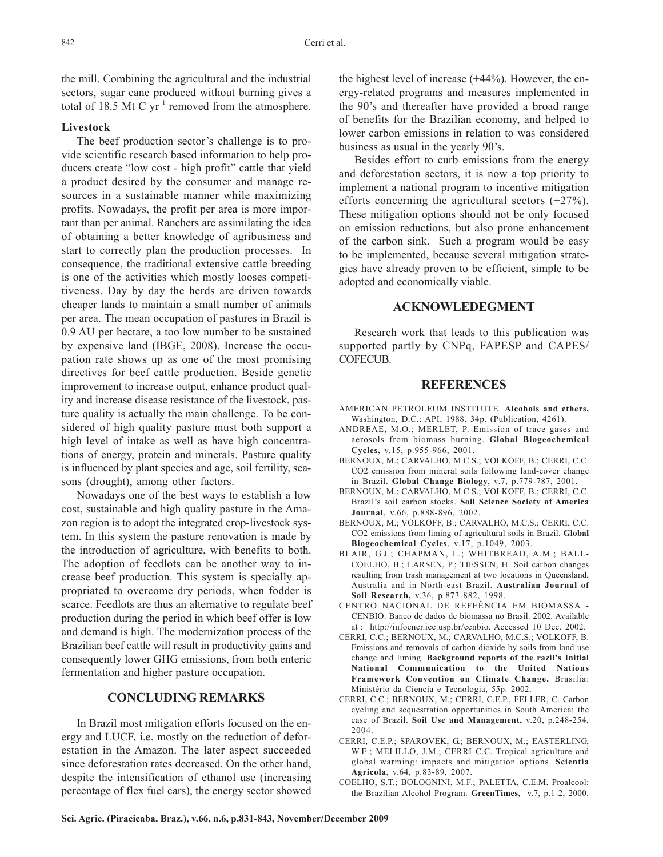the mill. Combining the agricultural and the industrial sectors, sugar cane produced without burning gives a total of 18.5 Mt C  $yr^{-1}$  removed from the atmosphere.

#### **Livestock**

The beef production sector's challenge is to provide scientific research based information to help producers create "low cost - high profit" cattle that yield a product desired by the consumer and manage resources in a sustainable manner while maximizing profits. Nowadays, the profit per area is more important than per animal. Ranchers are assimilating the idea of obtaining a better knowledge of agribusiness and start to correctly plan the production processes. In consequence, the traditional extensive cattle breeding is one of the activities which mostly looses competitiveness. Day by day the herds are driven towards cheaper lands to maintain a small number of animals per area. The mean occupation of pastures in Brazil is 0.9 AU per hectare, a too low number to be sustained by expensive land (IBGE, 2008). Increase the occupation rate shows up as one of the most promising directives for beef cattle production. Beside genetic improvement to increase output, enhance product quality and increase disease resistance of the livestock, pasture quality is actually the main challenge. To be considered of high quality pasture must both support a high level of intake as well as have high concentrations of energy, protein and minerals. Pasture quality is influenced by plant species and age, soil fertility, seasons (drought), among other factors.

Nowadays one of the best ways to establish a low cost, sustainable and high quality pasture in the Amazon region is to adopt the integrated crop-livestock system. In this system the pasture renovation is made by the introduction of agriculture, with benefits to both. The adoption of feedlots can be another way to increase beef production. This system is specially appropriated to overcome dry periods, when fodder is scarce. Feedlots are thus an alternative to regulate beef production during the period in which beef offer is low and demand is high. The modernization process of the Brazilian beef cattle will result in productivity gains and consequently lower GHG emissions, from both enteric fermentation and higher pasture occupation.

## **CONCLUDING REMARKS**

In Brazil most mitigation efforts focused on the energy and LUCF, i.e. mostly on the reduction of deforestation in the Amazon. The later aspect succeeded since deforestation rates decreased. On the other hand, despite the intensification of ethanol use (increasing percentage of flex fuel cars), the energy sector showed

the highest level of increase (+44%). However, the energy-related programs and measures implemented in the 90's and thereafter have provided a broad range of benefits for the Brazilian economy, and helped to lower carbon emissions in relation to was considered business as usual in the yearly 90's.

Besides effort to curb emissions from the energy and deforestation sectors, it is now a top priority to implement a national program to incentive mitigation efforts concerning the agricultural sectors (+27%). These mitigation options should not be only focused on emission reductions, but also prone enhancement of the carbon sink. Such a program would be easy to be implemented, because several mitigation strategies have already proven to be efficient, simple to be adopted and economically viable.

## **ACKNOWLEDEGMENT**

Research work that leads to this publication was supported partly by CNPq, FAPESP and CAPES/ COFECUB.

#### **REFERENCES**

- AMERICAN PETROLEUM INSTITUTE. **Alcohols and ethers.** Washington, D.C.: API, 1988. 34p. (Publication, 4261).
- ANDREAE, M.O.; MERLET, P. Emission of trace gases and aerosols from biomass burning. **Global Biogeochemical Cycles,** v.15, p.955-966, 2001.
- BERNOUX, M.; CARVALHO, M.C.S.; VOLKOFF, B.; CERRI, C.C. CO2 emission from mineral soils following land-cover change in Brazil. **Global Change Biology**, v.7, p.779-787, 2001.
- BERNOUX, M.; CARVALHO, M.C.S.; VOLKOFF, B.; CERRI, C.C. Brazil's soil carbon stocks. **Soil Science Society of America Journal**, v.66, p.888-896, 2002.
- BERNOUX, M.; VOLKOFF, B.; CARVALHO, M.C.S.; CERRI, C.C. CO2 emissions from liming of agricultural soils in Brazil. **Global Biogeochemical Cycles**, v.17, p.1049, 2003.
- BLAIR, G.J.; CHAPMAN, L.; WHITBREAD, A.M.; BALL-COELHO, B.; LARSEN, P.; TIESSEN, H. Soil carbon changes resulting from trash management at two locations in Queensland, Australia and in North-east Brazil. **Australian Journal of Soil Research,** v.36, p.873-882, 1998.
- CENTRO NACIONAL DE REFEÊNCIA EM BIOMASSA CENBIO. Banco de dados de biomassa no Brasil. 2002. Available at : http://infoener.iee.usp.br/cenbio. Accessed 10 Dec. 2002.
- CERRI, C.C.; BERNOUX, M.; CARVALHO, M.C.S.; VOLKOFF, B. Emissions and removals of carbon dioxide by soils from land use change and liming. **Background reports of the razil's Initial National Communication to the United Nations Framework Convention on Climate Change.** Brasilia: Ministério da Ciencia e Tecnologia, 55p. 2002.
- CERRI, C.C.; BERNOUX, M.; CERRI, C.E.P., FELLER, C. Carbon cycling and sequestration opportunities in South America: the case of Brazil. **Soil Use and Management,** v.20, p.248-254, 2004.
- CERRI, C.E.P.; SPAROVEK, G.; BERNOUX, M.; EASTERLING, W.E.; MELILLO, J.M.; CERRI C.C. Tropical agriculture and global warming: impacts and mitigation options. **Scientia Agricola**, v.64, p.83-89, 2007.
- COELHO, S.T.; BOLOGNINI, M.F.; PALETTA, C.E.M. Proalcool: the Brazilian Alcohol Program. **GreenTimes**, v.7, p.1-2, 2000.